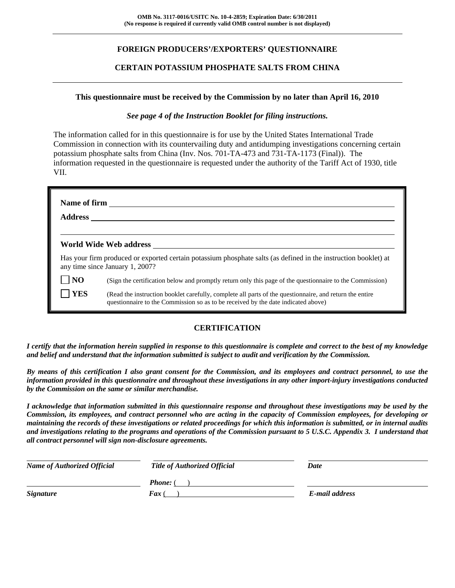# **FOREIGN PRODUCERS'/EXPORTERS' QUESTIONNAIRE**

## **CERTAIN POTASSIUM PHOSPHATE SALTS FROM CHINA**

#### **This questionnaire must be received by the Commission by no later than April 16, 2010**

#### *See page 4 of the Instruction Booklet for filing instructions.*

The information called for in this questionnaire is for use by the United States International Trade Commission in connection with its countervailing duty and antidumping investigations concerning certain potassium phosphate salts from China (Inv. Nos. 701-TA-473 and 731-TA-1173 (Final)). The information requested in the questionnaire is requested under the authority of the Tariff Act of 1930, title VII.

| <b>Address</b>  | Name of firm <u>superior and the set of the set of the set of the set of the set of the set of the set of the set of the set of the set of the set of the set of the set of the set of the set of the set of the set of the set </u> |  |  |  |  |  |
|-----------------|--------------------------------------------------------------------------------------------------------------------------------------------------------------------------------------------------------------------------------------|--|--|--|--|--|
|                 | World Wide Web address                                                                                                                                                                                                               |  |  |  |  |  |
|                 | Has your firm produced or exported certain potassium phosphate salts (as defined in the instruction booklet) at<br>any time since January 1, 2007?                                                                                   |  |  |  |  |  |
| $\overline{NQ}$ | (Sign the certification below and promptly return only this page of the questionnaire to the Commission)                                                                                                                             |  |  |  |  |  |
| <b>TYES</b>     | (Read the instruction booklet carefully, complete all parts of the questionnaire, and return the entire<br>questionnaire to the Commission so as to be received by the date indicated above)                                         |  |  |  |  |  |

## **CERTIFICATION**

*I certify that the information herein supplied in response to this questionnaire is complete and correct to the best of my knowledge and belief and understand that the information submitted is subject to audit and verification by the Commission.* 

*By means of this certification I also grant consent for the Commission, and its employees and contract personnel, to use the information provided in this questionnaire and throughout these investigations in any other import-injury investigations conducted by the Commission on the same or similar merchandise.* 

*I acknowledge that information submitted in this questionnaire response and throughout these investigations may be used by the Commission, its employees, and contract personnel who are acting in the capacity of Commission employees, for developing or maintaining the records of these investigations or related proceedings for which this information is submitted, or in internal audits and investigations relating to the programs and operations of the Commission pursuant to 5 U.S.C. Appendix 3. I understand that all contract personnel will sign non-disclosure agreements.* 

| <b>Name of Authorized Official</b> | <b>Title of Authorized Official</b> | Date           |
|------------------------------------|-------------------------------------|----------------|
|                                    | <b>Phone:</b> (                     |                |
| <b>Signature</b>                   | <b>Fax</b> (                        | E-mail address |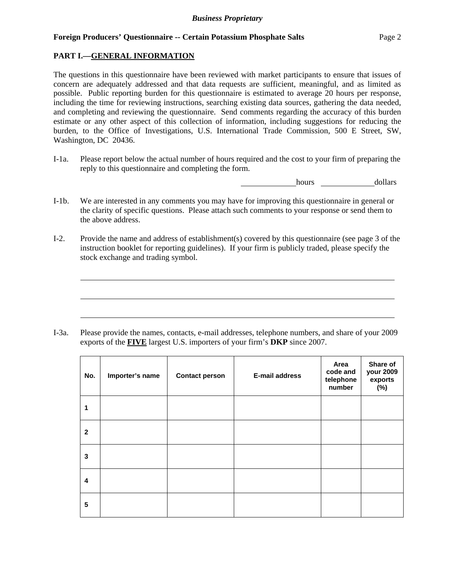## **PART I.—GENERAL INFORMATION**

 $\overline{a}$ 

 $\overline{a}$ 

 $\overline{a}$ 

The questions in this questionnaire have been reviewed with market participants to ensure that issues of concern are adequately addressed and that data requests are sufficient, meaningful, and as limited as possible. Public reporting burden for this questionnaire is estimated to average 20 hours per response, including the time for reviewing instructions, searching existing data sources, gathering the data needed, and completing and reviewing the questionnaire. Send comments regarding the accuracy of this burden estimate or any other aspect of this collection of information, including suggestions for reducing the burden, to the Office of Investigations, U.S. International Trade Commission, 500 E Street, SW, Washington, DC 20436.

I-1a. Please report below the actual number of hours required and the cost to your firm of preparing the reply to this questionnaire and completing the form.

hours dollars

- I-1b. We are interested in any comments you may have for improving this questionnaire in general or the clarity of specific questions. Please attach such comments to your response or send them to the above address.
- I-2. Provide the name and address of establishment(s) covered by this questionnaire (see page 3 of the instruction booklet for reporting guidelines). If your firm is publicly traded, please specify the stock exchange and trading symbol.

I-3a. Please provide the names, contacts, e-mail addresses, telephone numbers, and share of your 2009 exports of the **FIVE** largest U.S. importers of your firm's **DKP** since 2007.

| No.          | Importer's name | <b>Contact person</b> | <b>E-mail address</b> | Area<br>code and<br>telephone<br>number | Share of<br>your 2009<br>exports<br>(%) |
|--------------|-----------------|-----------------------|-----------------------|-----------------------------------------|-----------------------------------------|
| 1            |                 |                       |                       |                                         |                                         |
| $\mathbf{2}$ |                 |                       |                       |                                         |                                         |
| 3            |                 |                       |                       |                                         |                                         |
| 4            |                 |                       |                       |                                         |                                         |
| 5            |                 |                       |                       |                                         |                                         |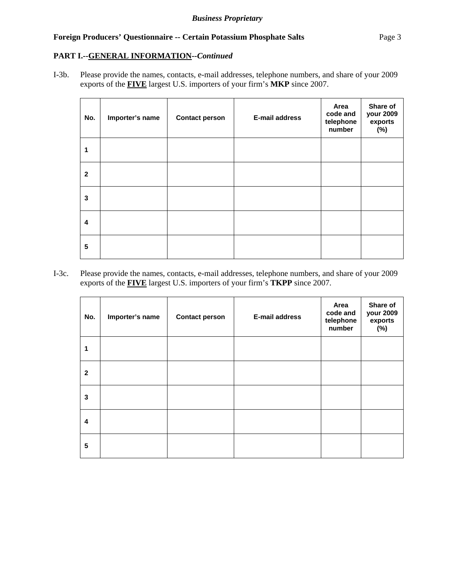# **PART I.--GENERAL INFORMATION***--Continued*

I-3b. Please provide the names, contacts, e-mail addresses, telephone numbers, and share of your 2009 exports of the **FIVE** largest U.S. importers of your firm's **MKP** since 2007.

| No.          | Importer's name | <b>Contact person</b> | <b>E-mail address</b> | Area<br>code and<br>telephone<br>number | Share of<br>your 2009<br>exports<br>$(\%)$ |
|--------------|-----------------|-----------------------|-----------------------|-----------------------------------------|--------------------------------------------|
| 1            |                 |                       |                       |                                         |                                            |
| $\mathbf{2}$ |                 |                       |                       |                                         |                                            |
| 3            |                 |                       |                       |                                         |                                            |
| 4            |                 |                       |                       |                                         |                                            |
| 5            |                 |                       |                       |                                         |                                            |

I-3c. Please provide the names, contacts, e-mail addresses, telephone numbers, and share of your 2009 exports of the **FIVE** largest U.S. importers of your firm's **TKPP** since 2007.

| No.                     | Importer's name | <b>Contact person</b> | <b>E-mail address</b> | Area<br>code and<br>telephone<br>number | Share of<br>your 2009<br>exports<br>(%) |
|-------------------------|-----------------|-----------------------|-----------------------|-----------------------------------------|-----------------------------------------|
| 1                       |                 |                       |                       |                                         |                                         |
| $\mathbf{2}$            |                 |                       |                       |                                         |                                         |
| $\mathbf{3}$            |                 |                       |                       |                                         |                                         |
| $\overline{\mathbf{4}}$ |                 |                       |                       |                                         |                                         |
| 5                       |                 |                       |                       |                                         |                                         |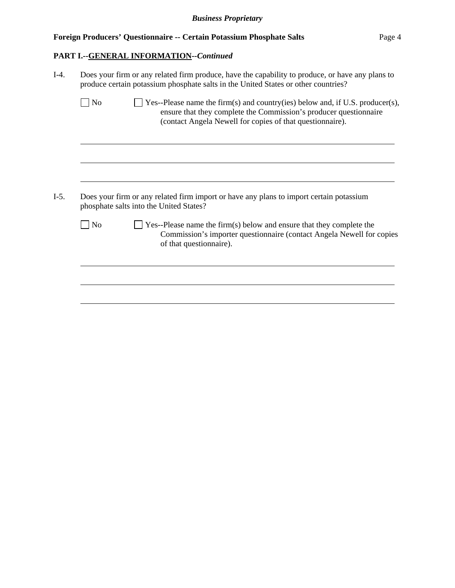# **PART I.--GENERAL INFORMATION***--Continued*

| $I-4.$ | Does your firm or any related firm produce, have the capability to produce, or have any plans to<br>produce certain potassium phosphate salts in the United States or other countries? |                                                                                                                                                                                                                 |  |  |  |
|--------|----------------------------------------------------------------------------------------------------------------------------------------------------------------------------------------|-----------------------------------------------------------------------------------------------------------------------------------------------------------------------------------------------------------------|--|--|--|
|        | N <sub>0</sub>                                                                                                                                                                         | Yes--Please name the firm(s) and country(ies) below and, if U.S. producer(s),<br>ensure that they complete the Commission's producer questionnaire<br>(contact Angela Newell for copies of that questionnaire). |  |  |  |
| $I-5.$ |                                                                                                                                                                                        | Does your firm or any related firm import or have any plans to import certain potassium<br>phosphate salts into the United States?                                                                              |  |  |  |
|        |                                                                                                                                                                                        |                                                                                                                                                                                                                 |  |  |  |
|        | N <sub>0</sub>                                                                                                                                                                         | Yes--Please name the firm(s) below and ensure that they complete the<br>Commission's importer questionnaire (contact Angela Newell for copies<br>of that questionnaire).                                        |  |  |  |
|        |                                                                                                                                                                                        |                                                                                                                                                                                                                 |  |  |  |
|        |                                                                                                                                                                                        |                                                                                                                                                                                                                 |  |  |  |
|        |                                                                                                                                                                                        |                                                                                                                                                                                                                 |  |  |  |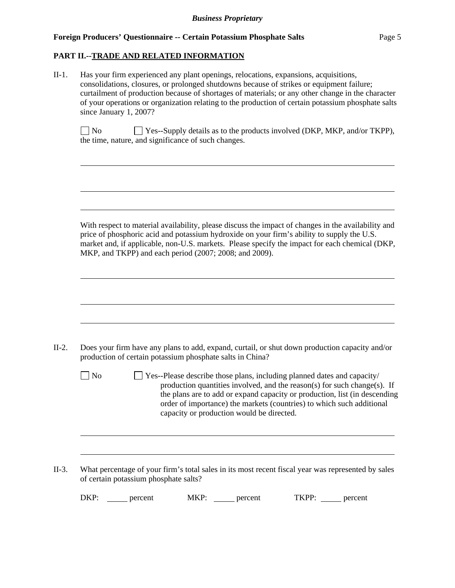# **PART II.--TRADE AND RELATED INFORMATION**

| $II-1.$ | Has your firm experienced any plant openings, relocations, expansions, acquisitions,<br>consolidations, closures, or prolonged shutdowns because of strikes or equipment failure;<br>curtailment of production because of shortages of materials; or any other change in the character<br>of your operations or organization relating to the production of certain potassium phosphate salts<br>since January 1, 2007? |  |  |  |  |  |
|---------|------------------------------------------------------------------------------------------------------------------------------------------------------------------------------------------------------------------------------------------------------------------------------------------------------------------------------------------------------------------------------------------------------------------------|--|--|--|--|--|
|         | <b>No</b><br>$\Box$ Yes--Supply details as to the products involved (DKP, MKP, and/or TKPP),<br>the time, nature, and significance of such changes.                                                                                                                                                                                                                                                                    |  |  |  |  |  |
|         | With respect to material availability, please discuss the impact of changes in the availability and<br>price of phosphoric acid and potassium hydroxide on your firm's ability to supply the U.S.<br>market and, if applicable, non-U.S. markets. Please specify the impact for each chemical (DKP,<br>MKP, and TKPP) and each period (2007; 2008; and 2009).                                                          |  |  |  |  |  |
|         |                                                                                                                                                                                                                                                                                                                                                                                                                        |  |  |  |  |  |
| $II-2.$ | Does your firm have any plans to add, expand, curtail, or shut down production capacity and/or<br>production of certain potassium phosphate salts in China?                                                                                                                                                                                                                                                            |  |  |  |  |  |
|         | $\vert$ No<br>Yes--Please describe those plans, including planned dates and capacity/<br>production quantities involved, and the reason(s) for such change(s). If<br>the plans are to add or expand capacity or production, list (in descending<br>order of importance) the markets (countries) to which such additional<br>capacity or production would be directed.                                                  |  |  |  |  |  |
|         |                                                                                                                                                                                                                                                                                                                                                                                                                        |  |  |  |  |  |
| $II-3.$ | What percentage of your firm's total sales in its most recent fiscal year was represented by sales<br>of certain potassium phosphate salts?                                                                                                                                                                                                                                                                            |  |  |  |  |  |
|         | $DKP:$ ______ percent<br>MKP: percent<br>TKPP: ______ percent                                                                                                                                                                                                                                                                                                                                                          |  |  |  |  |  |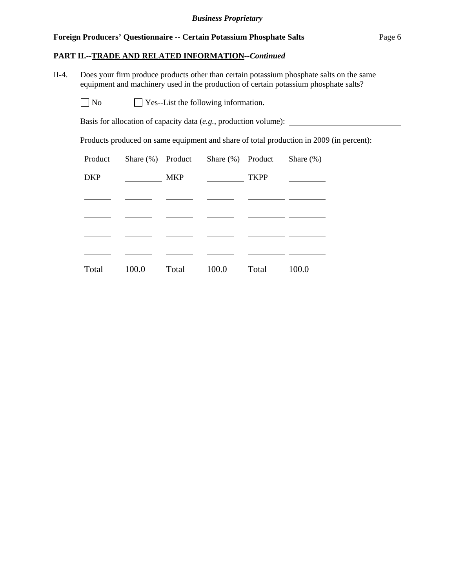#### **PART II.--TRADE AND RELATED INFORMATION***--Continued*

II-4. Does your firm produce products other than certain potassium phosphate salts on the same equipment and machinery used in the production of certain potassium phosphate salts?

 $\Box$  No  $\Box$  Yes--List the following information.

Basis for allocation of capacity data (*e.g.*, production volume):

Products produced on same equipment and share of total production in 2009 (in percent):

| Product    |       | Share $(\%)$ Product | Share $(\%)$ Product |             | Share $(\%)$ |
|------------|-------|----------------------|----------------------|-------------|--------------|
| <b>DKP</b> |       | <b>MKP</b>           |                      | <b>TKPP</b> |              |
|            |       |                      |                      |             |              |
|            |       |                      |                      |             |              |
|            |       |                      |                      |             |              |
|            |       |                      |                      |             |              |
| Total      | 100.0 | Total                | 100.0                | Total       | 100.0        |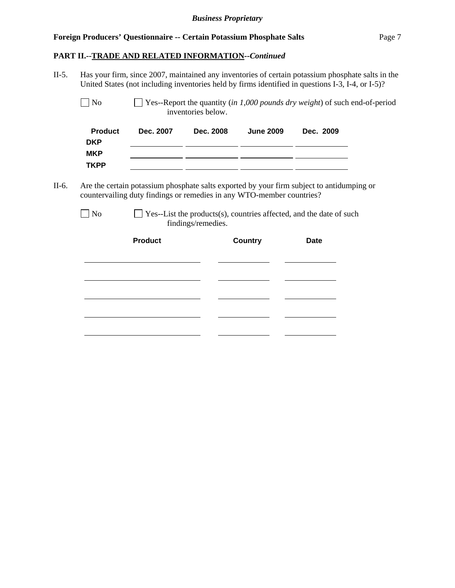#### **PART II.--TRADE AND RELATED INFORMATION***--Continued*

l

II-5. Has your firm, since 2007, maintained any inventories of certain potassium phosphate salts in the United States (not including inventories held by firms identified in questions I-3, I-4, or I-5)? No Yes--Report the quantity (*in 1,000 pounds dry weight*) of such end-of-period inventories below. **Product Dec. 2007 Dec. 2008 June 2009 Dec. 2009 DKP MKP**  <u> 1999 - Johann Barbara, martxa eta politikar</u> **TKPP**  <u> 1999 - Johann Marie Barn, mars eta inperiodore</u> II-6. Are the certain potassium phosphate salts exported by your firm subject to antidumping or countervailing duty findings or remedies in any WTO-member countries?  $\Box$  No  $\Box$  Yes--List the products(s), countries affected, and the date of such findings/remedies. Product **Country** Date l l <u> 1980 - Johann Barbara, martin a</u> l l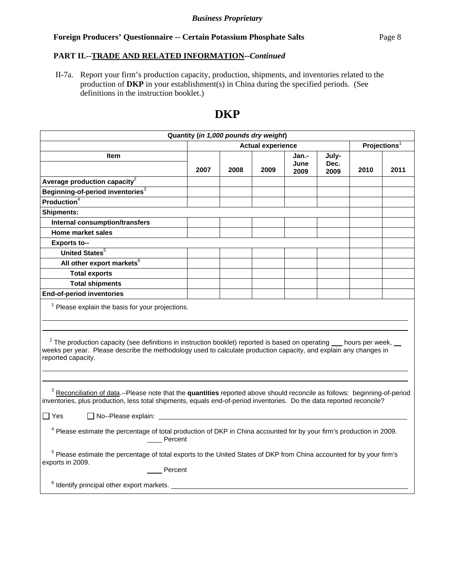# **PART II.--TRADE AND RELATED INFORMATION***--Continued*

 II-7a. Report your firm's production capacity, production, shipments, and inventories related to the production of **DKP** in your establishment(s) in China during the specified periods. (See definitions in the instruction booklet.)

# **DKP**

| Quantity (in 1,000 pounds dry weight)                                                                                                                                                                                                                                        |                          |      |      |                       |                          |      |      |
|------------------------------------------------------------------------------------------------------------------------------------------------------------------------------------------------------------------------------------------------------------------------------|--------------------------|------|------|-----------------------|--------------------------|------|------|
|                                                                                                                                                                                                                                                                              | <b>Actual experience</b> |      |      |                       | Projections <sup>1</sup> |      |      |
| Item                                                                                                                                                                                                                                                                         | 2007                     | 2008 | 2009 | Jan.-<br>June<br>2009 | July-<br>Dec.<br>2009    | 2010 | 2011 |
| Average production capacity $^2$                                                                                                                                                                                                                                             |                          |      |      |                       |                          |      |      |
| Beginning-of-period inventories <sup>3</sup>                                                                                                                                                                                                                                 |                          |      |      |                       |                          |      |      |
| Production <sup>4</sup>                                                                                                                                                                                                                                                      |                          |      |      |                       |                          |      |      |
| <b>Shipments:</b>                                                                                                                                                                                                                                                            |                          |      |      |                       |                          |      |      |
| <b>Internal consumption/transfers</b>                                                                                                                                                                                                                                        |                          |      |      |                       |                          |      |      |
| <b>Home market sales</b>                                                                                                                                                                                                                                                     |                          |      |      |                       |                          |      |      |
| <b>Exports to--</b>                                                                                                                                                                                                                                                          |                          |      |      |                       |                          |      |      |
| United States <sup>5</sup>                                                                                                                                                                                                                                                   |                          |      |      |                       |                          |      |      |
| All other export markets <sup>6</sup>                                                                                                                                                                                                                                        |                          |      |      |                       |                          |      |      |
| <b>Total exports</b>                                                                                                                                                                                                                                                         |                          |      |      |                       |                          |      |      |
| <b>Total shipments</b>                                                                                                                                                                                                                                                       |                          |      |      |                       |                          |      |      |
| <b>End-of-period inventories</b>                                                                                                                                                                                                                                             |                          |      |      |                       |                          |      |      |
| $1$ Please explain the basis for your projections.                                                                                                                                                                                                                           |                          |      |      |                       |                          |      |      |
| $2$ The production capacity (see definitions in instruction booklet) reported is based on operating $\_\_$ hours per week, $\_\_$<br>weeks per year. Please describe the methodology used to calculate production capacity, and explain any changes in<br>reported capacity. |                          |      |      |                       |                          |      |      |
| <sup>3</sup> Reconciliation of data.--Please note that the quantities reported above should reconcile as follows: beginning-of-period<br>inventories, plus production, less total shipments, equals end-of-period inventories. Do the data reported reconcile?               |                          |      |      |                       |                          |      |      |
| No--Please explain: ___________<br>$\Box$ Yes                                                                                                                                                                                                                                |                          |      |      |                       |                          |      |      |
| <sup>4</sup> Please estimate the percentage of total production of DKP in China accounted for by your firm's production in 2009.<br>____ Percent                                                                                                                             |                          |      |      |                       |                          |      |      |
| <sup>5</sup> Please estimate the percentage of total exports to the United States of DKP from China accounted for by your firm's<br>exports in 2009.<br>Percent                                                                                                              |                          |      |      |                       |                          |      |      |
| <sup>6</sup> Identify principal other export markets.                                                                                                                                                                                                                        |                          |      |      |                       |                          |      |      |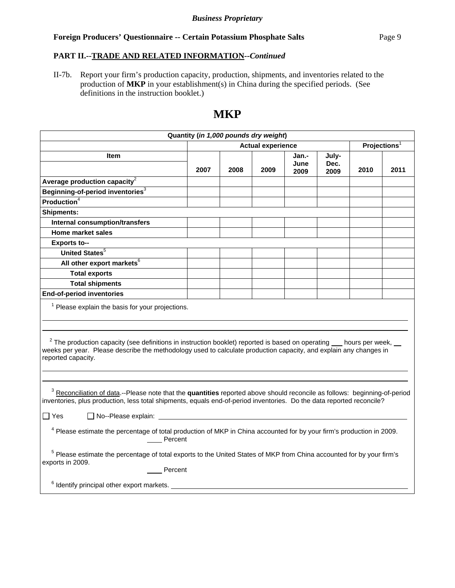# **PART II.--TRADE AND RELATED INFORMATION***--Continued*

II-7b. Report your firm's production capacity, production, shipments, and inventories related to the production of **MKP** in your establishment(s) in China during the specified periods. (See definitions in the instruction booklet.)

# **MKP**

| Quantity (in 1,000 pounds dry weight)                                                                                                                                                                                                                                        |                          |      |      |                          |                       |      |      |
|------------------------------------------------------------------------------------------------------------------------------------------------------------------------------------------------------------------------------------------------------------------------------|--------------------------|------|------|--------------------------|-----------------------|------|------|
|                                                                                                                                                                                                                                                                              | <b>Actual experience</b> |      |      | Projections <sup>1</sup> |                       |      |      |
| Item                                                                                                                                                                                                                                                                         | 2007                     | 2008 | 2009 | Jan.-<br>June<br>2009    | July-<br>Dec.<br>2009 | 2010 | 2011 |
| Average production capacity $2$                                                                                                                                                                                                                                              |                          |      |      |                          |                       |      |      |
| Beginning-of-period inventories <sup>3</sup>                                                                                                                                                                                                                                 |                          |      |      |                          |                       |      |      |
| <b>Production</b> $4$                                                                                                                                                                                                                                                        |                          |      |      |                          |                       |      |      |
| <b>Shipments:</b>                                                                                                                                                                                                                                                            |                          |      |      |                          |                       |      |      |
| <b>Internal consumption/transfers</b>                                                                                                                                                                                                                                        |                          |      |      |                          |                       |      |      |
| <b>Home market sales</b>                                                                                                                                                                                                                                                     |                          |      |      |                          |                       |      |      |
| <b>Exports to--</b>                                                                                                                                                                                                                                                          |                          |      |      |                          |                       |      |      |
| United States <sup>5</sup>                                                                                                                                                                                                                                                   |                          |      |      |                          |                       |      |      |
| All other export markets <sup>6</sup>                                                                                                                                                                                                                                        |                          |      |      |                          |                       |      |      |
| <b>Total exports</b>                                                                                                                                                                                                                                                         |                          |      |      |                          |                       |      |      |
| <b>Total shipments</b>                                                                                                                                                                                                                                                       |                          |      |      |                          |                       |      |      |
| <b>End-of-period inventories</b>                                                                                                                                                                                                                                             |                          |      |      |                          |                       |      |      |
| $1$ Please explain the basis for your projections.                                                                                                                                                                                                                           |                          |      |      |                          |                       |      |      |
| $2$ The production capacity (see definitions in instruction booklet) reported is based on operating $\_\_$ hours per week, $\_\_$<br>weeks per year. Please describe the methodology used to calculate production capacity, and explain any changes in<br>reported capacity. |                          |      |      |                          |                       |      |      |
| <sup>3</sup> Reconciliation of data.--Please note that the quantities reported above should reconcile as follows: beginning-of-period<br>inventories, plus production, less total shipments, equals end-of-period inventories. Do the data reported reconcile?               |                          |      |      |                          |                       |      |      |
| ∏ Yes                                                                                                                                                                                                                                                                        |                          |      |      |                          |                       |      |      |
| <sup>4</sup> Please estimate the percentage of total production of MKP in China accounted for by your firm's production in 2009.<br>____ Percent                                                                                                                             |                          |      |      |                          |                       |      |      |
| <sup>5</sup> Please estimate the percentage of total exports to the United States of MKP from China accounted for by your firm's<br>exports in 2009.<br>Percent                                                                                                              |                          |      |      |                          |                       |      |      |
| $6$ Identify principal other export markets. $\overline{\phantom{a}}$                                                                                                                                                                                                        |                          |      |      |                          |                       |      |      |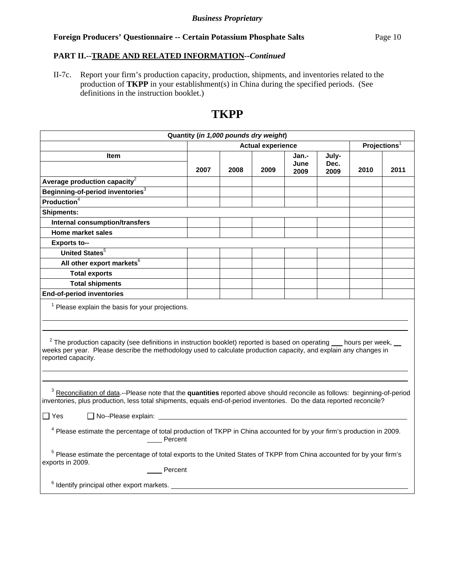# **PART II.--TRADE AND RELATED INFORMATION***--Continued*

II-7c. Report your firm's production capacity, production, shipments, and inventories related to the production of **TKPP** in your establishment(s) in China during the specified periods. (See definitions in the instruction booklet.)

# **TKPP**

| Quantity (in 1,000 pounds dry weight)                                                                                                                                                                                                                                        |                          |      |      |                       |                          |      |      |
|------------------------------------------------------------------------------------------------------------------------------------------------------------------------------------------------------------------------------------------------------------------------------|--------------------------|------|------|-----------------------|--------------------------|------|------|
|                                                                                                                                                                                                                                                                              | <b>Actual experience</b> |      |      |                       | Projections <sup>1</sup> |      |      |
| <b>Item</b>                                                                                                                                                                                                                                                                  | 2007                     | 2008 | 2009 | Jan.-<br>June<br>2009 | July-<br>Dec.<br>2009    | 2010 | 2011 |
| Average production capacity $^2$                                                                                                                                                                                                                                             |                          |      |      |                       |                          |      |      |
| Beginning-of-period inventories <sup>3</sup>                                                                                                                                                                                                                                 |                          |      |      |                       |                          |      |      |
| <b>Production</b> $4$                                                                                                                                                                                                                                                        |                          |      |      |                       |                          |      |      |
| <b>Shipments:</b>                                                                                                                                                                                                                                                            |                          |      |      |                       |                          |      |      |
| <b>Internal consumption/transfers</b>                                                                                                                                                                                                                                        |                          |      |      |                       |                          |      |      |
| <b>Home market sales</b>                                                                                                                                                                                                                                                     |                          |      |      |                       |                          |      |      |
| <b>Exports to--</b>                                                                                                                                                                                                                                                          |                          |      |      |                       |                          |      |      |
| United States <sup>5</sup>                                                                                                                                                                                                                                                   |                          |      |      |                       |                          |      |      |
| All other export markets <sup>6</sup>                                                                                                                                                                                                                                        |                          |      |      |                       |                          |      |      |
| <b>Total exports</b>                                                                                                                                                                                                                                                         |                          |      |      |                       |                          |      |      |
| <b>Total shipments</b>                                                                                                                                                                                                                                                       |                          |      |      |                       |                          |      |      |
| <b>End-of-period inventories</b>                                                                                                                                                                                                                                             |                          |      |      |                       |                          |      |      |
| <sup>1</sup> Please explain the basis for your projections.                                                                                                                                                                                                                  |                          |      |      |                       |                          |      |      |
| $2$ The production capacity (see definitions in instruction booklet) reported is based on operating $\_\_$ hours per week, $\_\_$<br>weeks per year. Please describe the methodology used to calculate production capacity, and explain any changes in<br>reported capacity. |                          |      |      |                       |                          |      |      |
| <sup>3</sup> Reconciliation of data.--Please note that the quantities reported above should reconcile as follows: beginning-of-period<br>inventories, plus production, less total shipments, equals end-of-period inventories. Do the data reported reconcile?               |                          |      |      |                       |                          |      |      |
| $\Box$ No--Please explain:<br>$\Box$ Yes                                                                                                                                                                                                                                     |                          |      |      |                       |                          |      |      |
| <sup>4</sup> Please estimate the percentage of total production of TKPP in China accounted for by your firm's production in 2009.<br>____ Percent                                                                                                                            |                          |      |      |                       |                          |      |      |
| <sup>5</sup> Please estimate the percentage of total exports to the United States of TKPP from China accounted for by your firm's<br>exports in 2009.<br>Percent                                                                                                             |                          |      |      |                       |                          |      |      |
| <sup>6</sup> Identify principal other export markets.                                                                                                                                                                                                                        |                          |      |      |                       |                          |      |      |